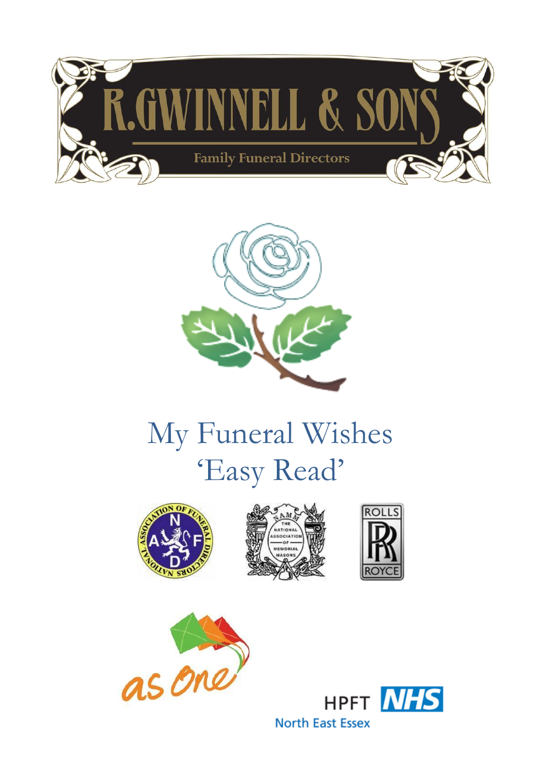



# My Funeral Wishes 'Easy Read'









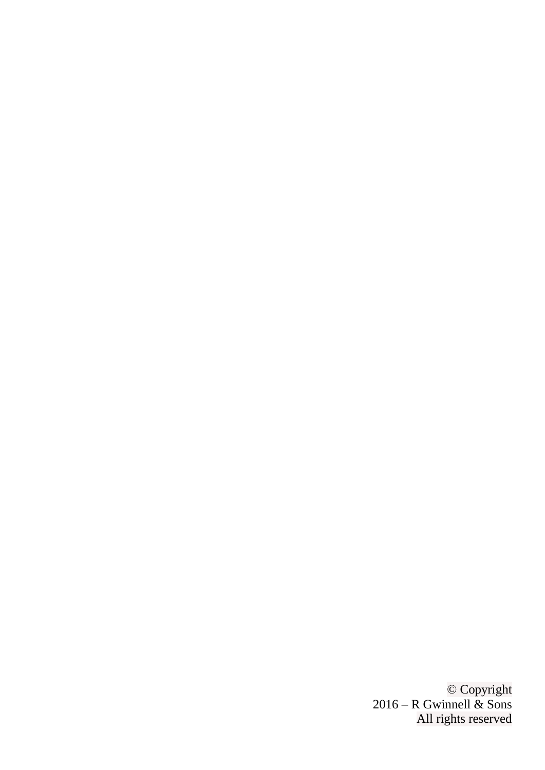© Copyright 2016 – R Gwinnell & Sons All rights reserved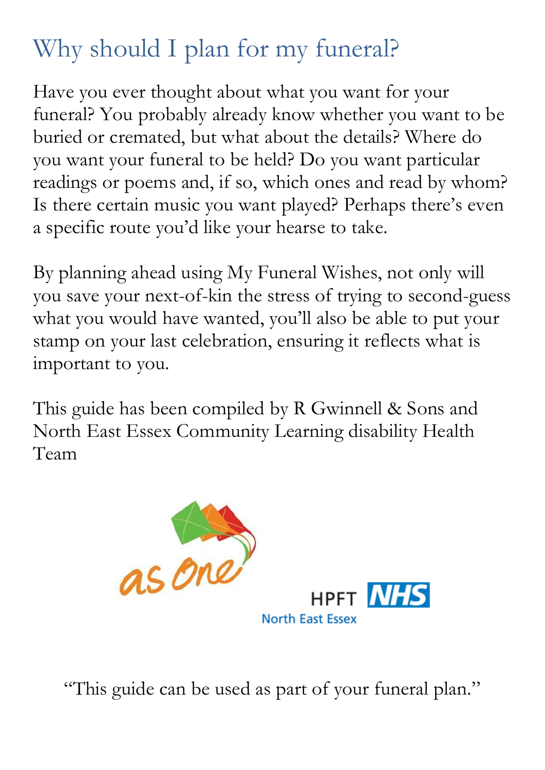# Why should I plan for my funeral?

Have you ever thought about what you want for your funeral? You probably already know whether you want to be buried or cremated, but what about the details? Where do you want your funeral to be held? Do you want particular readings or poems and, if so, which ones and read by whom? Is there certain music you want played? Perhaps there's even a specific route you'd like your hearse to take.

By planning ahead using My Funeral Wishes, not only will you save your next-of-kin the stress of trying to second-guess what you would have wanted, you'll also be able to put your stamp on your last celebration, ensuring it reflects what is important to you.

This guide has been compiled by R Gwinnell & Sons and North East Essex Community Learning disability Health Team



"This guide can be used as part of your funeral plan."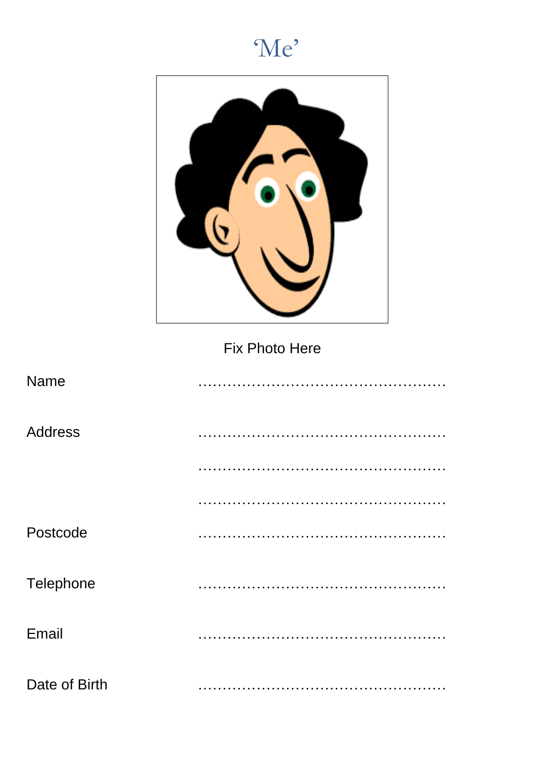



Fix Photo Here

| <b>Name</b>    |  |
|----------------|--|
| <b>Address</b> |  |
|                |  |
|                |  |
| Postcode       |  |
| Telephone      |  |
| Email          |  |
| Date of Birth  |  |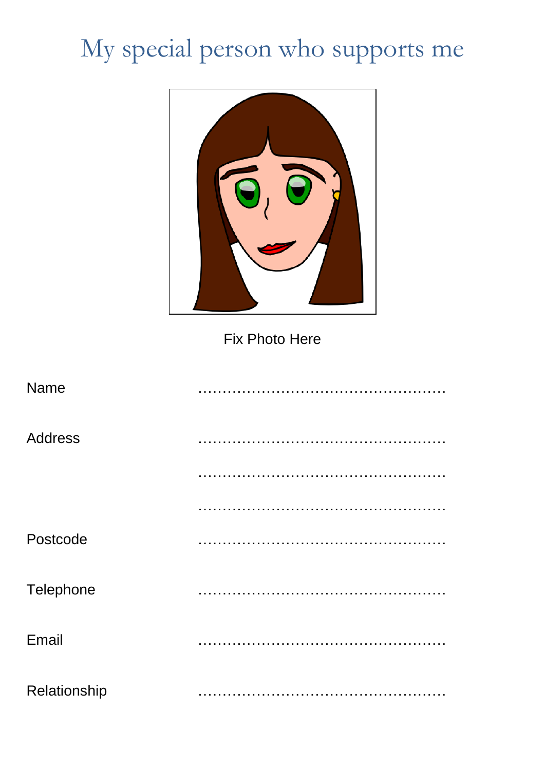# My special person who supports me



Fix Photo Here

| Name           |  |
|----------------|--|
| <b>Address</b> |  |
|                |  |
|                |  |
| Postcode       |  |
| Telephone      |  |
| Email          |  |
| Relationship   |  |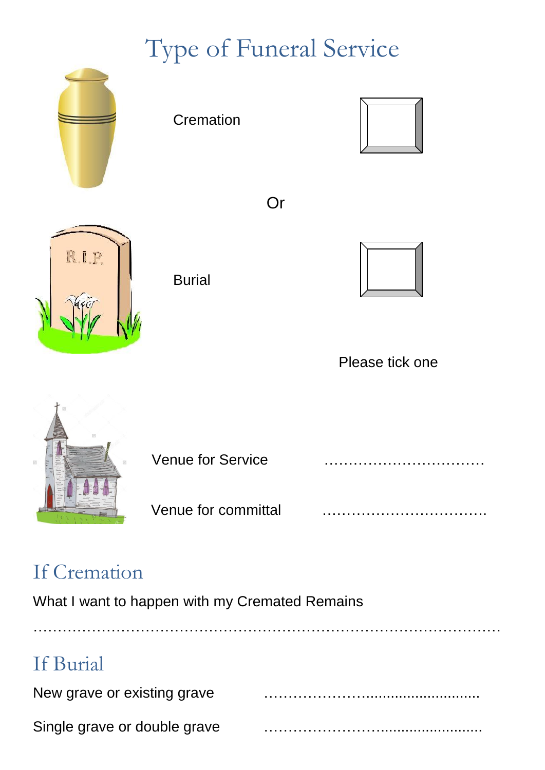# Type of Funeral Service



### If Cremation

What I want to happen with my Cremated Remains

| If Burial                    |  |
|------------------------------|--|
| New grave or existing grave  |  |
| Single grave or double grave |  |

……………………………………………………………………………………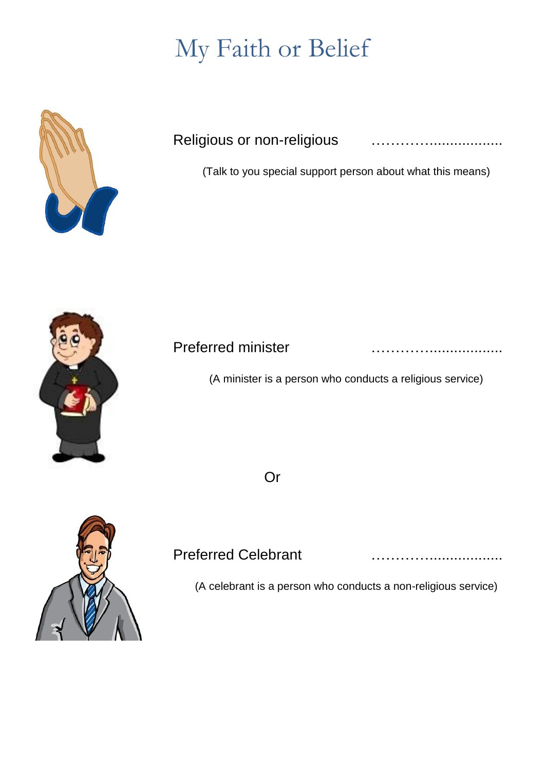## My Faith or Belief



#### Religious or non-religious **manually manually manually example**

(Talk to you special support person about what this means)



#### Preferred minister …………..................

(A minister is a person who conducts a religious service)

Or



#### Preferred Celebrant manufactured in the contract of the Preferred Celebrant

(A celebrant is a person who conducts a non-religious service)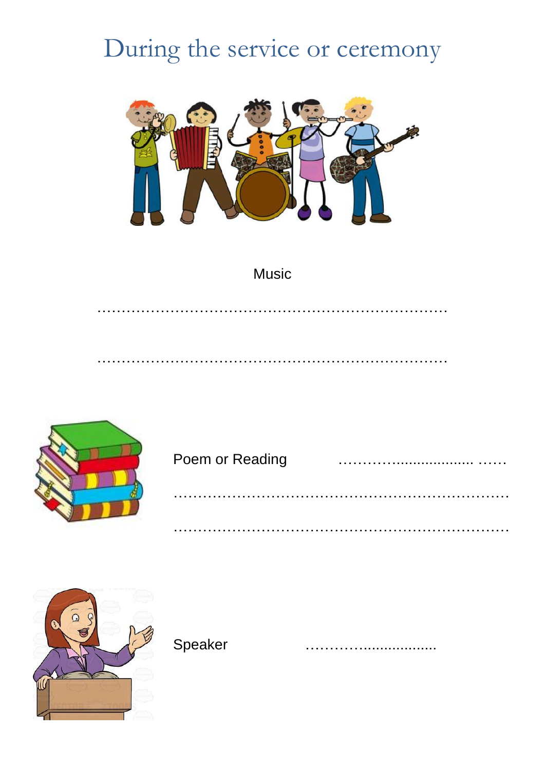### During the service or ceremony



#### Music



# Poem or Reading …………................... …… ……………………………………………………………

……………………………………………………………

………………………………………………………………

………………………………………………………………



Speaker …………………………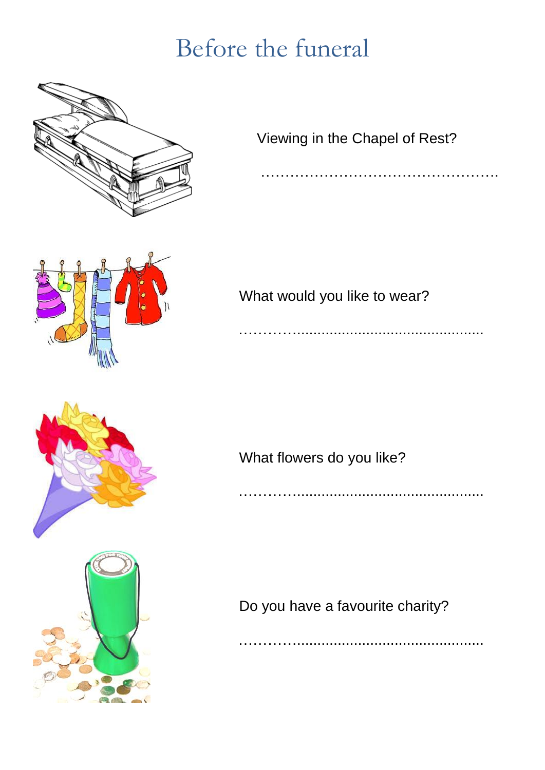### Before the funeral



Viewing in the Chapel of Rest?

………………………………………….



What would you like to wear?

……………………………………………………………





What flowers do you like?

…………………………………………………

Do you have a favourite charity?

…………..............................................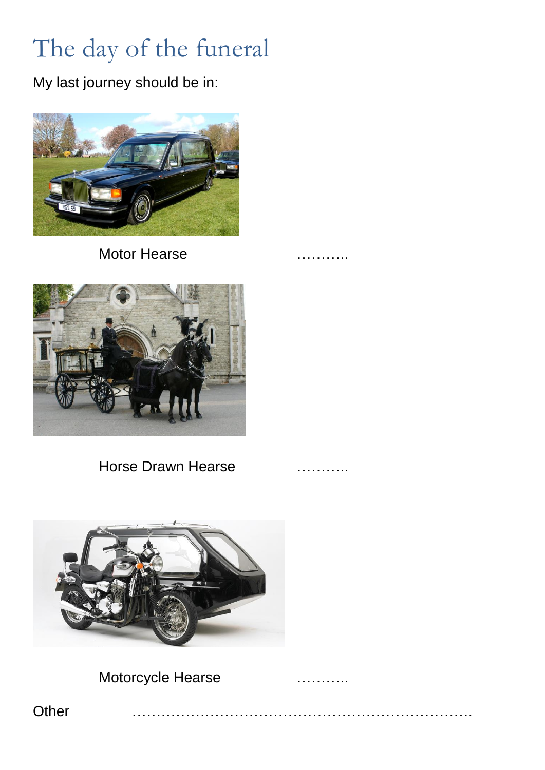# The day of the funeral

My last journey should be in:



Motor Hearse **manufacturers manufacturers manufacturers manufacturers** 



Horse Drawn Hearse **Example 20** 



Motorcycle Hearse **Execute 19** materials

Other …………………………………………………………….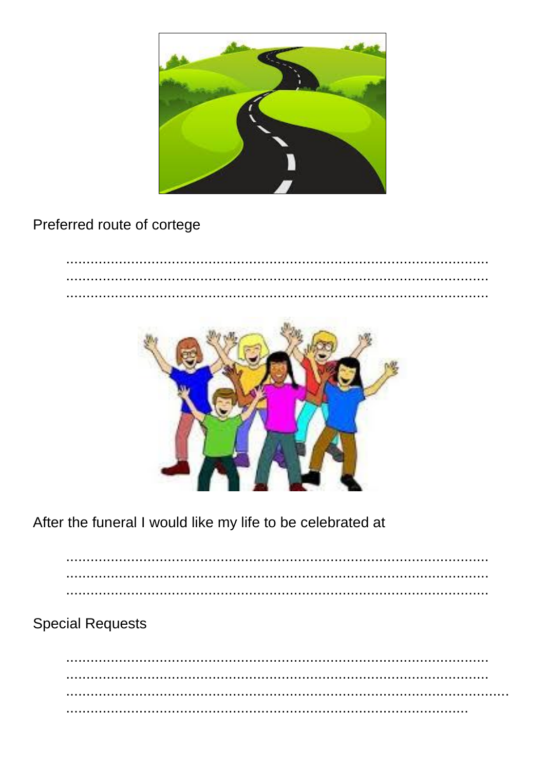

Preferred route of cortege



After the funeral I would like my life to be celebrated at

 $\ddot{\phantom{a}}$ 

**Special Requests**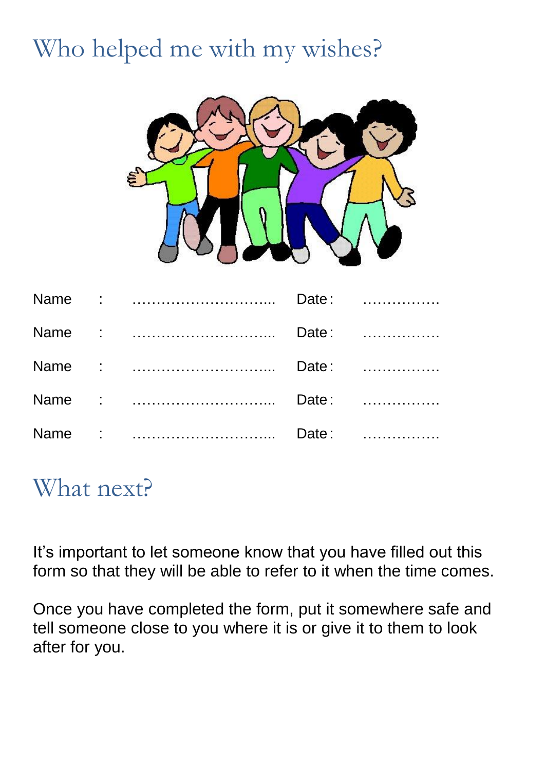# Who helped me with my wishes?



### What next?

It's important to let someone know that you have filled out this form so that they will be able to refer to it when the time comes.

Once you have completed the form, put it somewhere safe and tell someone close to you where it is or give it to them to look after for you.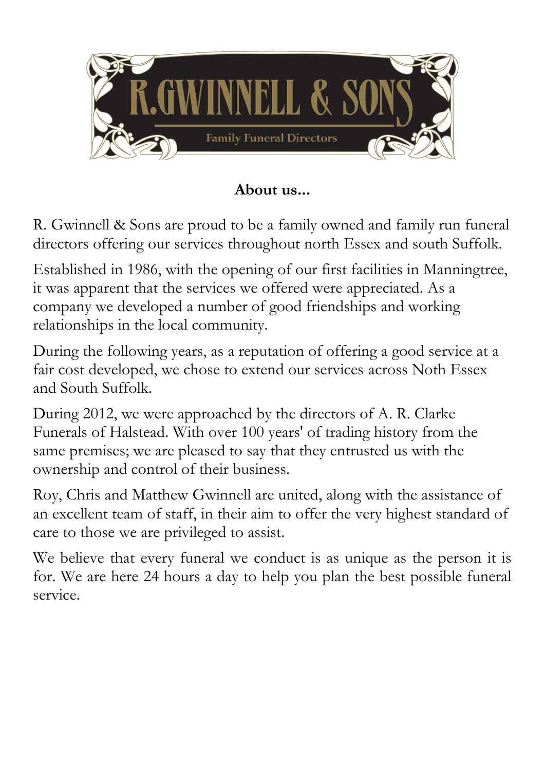

### **About us...**

R. Gwinnell & Sons are proud to be a family owned and family run funeral directors offering our services throughout north Essex and south Suffolk.

Established in 1986, with the opening of our first facilities in Manningtree, it was apparent that the services we offered were appreciated. As a company we developed a number of good friendships and working relationships in the local community.

During the following years, as a reputation of offering a good service at a fair cost developed, we chose to extend our services across Noth Essex and South Suffolk.

During 2012, we were approached by the directors of A. R. Clarke Funerals of Halstead. With over 100 years' of trading history from the same premises; we are pleased to say that they entrusted us with the ownership and control of their business.

Roy, Chris and Matthew Gwinnell are united, along with the assistance of an excellent team of staff, in their aim to offer the very highest standard of care to those we are privileged to assist.

We believe that every funeral we conduct is as unique as the person it is for. We are here 24 hours a day to help you plan the best possible funeral service.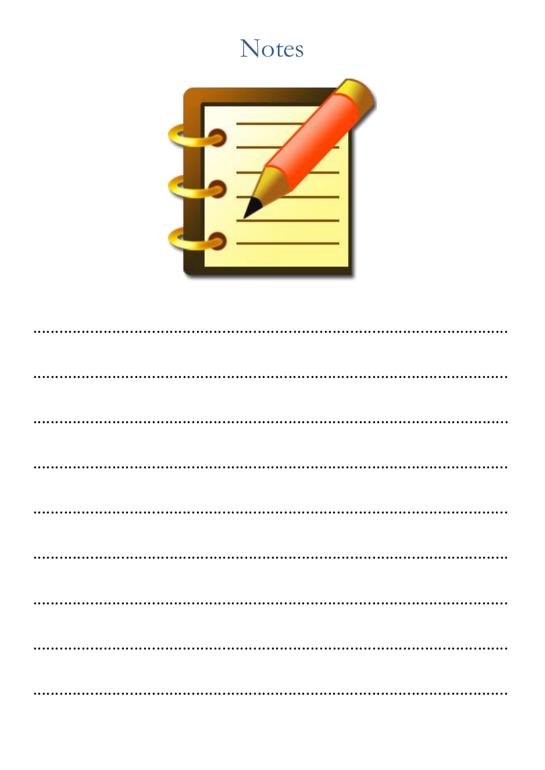### Notes